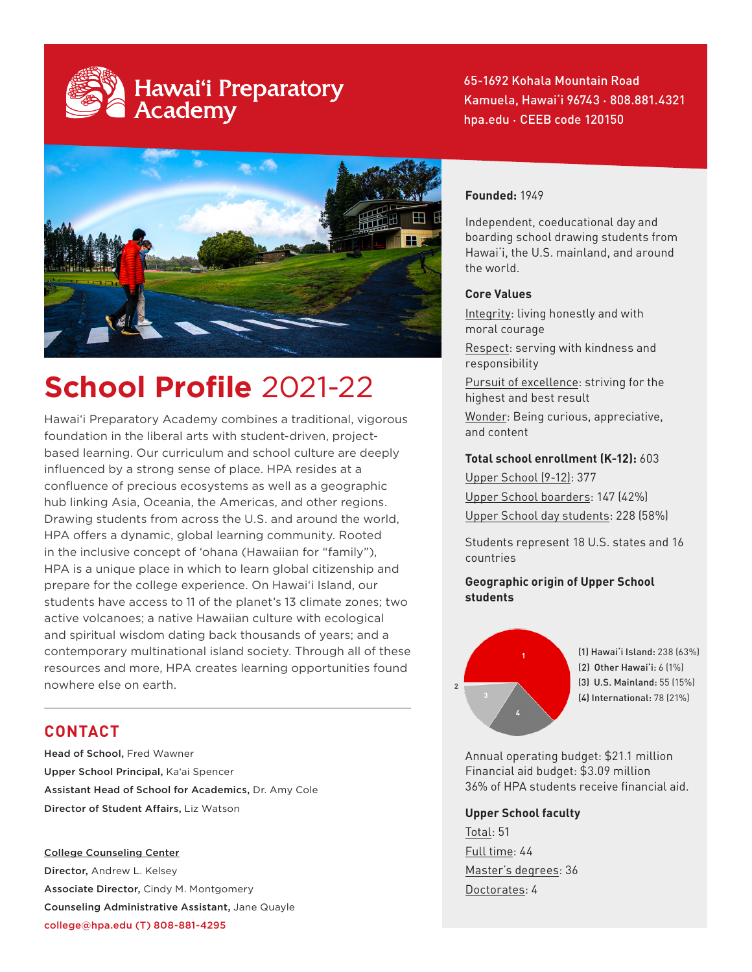# Hawaiʻi Preparatory<br>Academy

65-1692 Kohala Mountain Road Kamuela, Hawaiʻi 96743 • 808.881.4321 hpa.edu • CEEB code 120150



# **School Profile** 2021-22

Hawai'i Preparatory Academy combines a traditional, vigorous foundation in the liberal arts with student-driven, projectbased learning. Our curriculum and school culture are deeply influenced by a strong sense of place. HPA resides at a confluence of precious ecosystems as well as a geographic hub linking Asia, Oceania, the Americas, and other regions. Drawing students from across the U.S. and around the world, HPA offers a dynamic, global learning community. Rooted in the inclusive concept of 'ohana (Hawaiian for "family"), HPA is a unique place in which to learn global citizenship and prepare for the college experience. On Hawai'i Island, our students have access to 11 of the planet's 13 climate zones; two active volcanoes; a native Hawaiian culture with ecological and spiritual wisdom dating back thousands of years; and a contemporary multinational island society. Through all of these resources and more, HPA creates learning opportunities found nowhere else on earth.

# **CONTACT**

Head of School, Fred Wawner Upper School Principal, Ka'ai Spencer Assistant Head of School for Academics, Dr. Amy Cole Director of Student Affairs, Liz Watson

College Counseling Center Director, Andrew L. Kelsey Associate Director, Cindy M. Montgomery Counseling Administrative Assistant, Jane Quayle college@hpa.edu (T) 808-881-4295

### **Founded:** 1949

Independent, coeducational day and boarding school drawing students from Hawai'i, the U.S. mainland, and around the world.

#### **Core Values**

Integrity: living honestly and with moral courage

Respect: serving with kindness and responsibility

Pursuit of excellence: striving for the highest and best result

Wonder: Being curious, appreciative, and content

#### **Total school enrollment (K-12):** 603

Upper School (9-12): 377 Upper School boarders: 147 (42%) Upper School day students: 228 (58%)

Students represent 18 U.S. states and 16 countries

#### **Geographic origin of Upper School students**



(1) Hawai'i Island: 238 (63%) (2) Other Hawai'i: 6 (1%) (3) U.S. Mainland: 55 (15%) (4) International: 78 (21%)

Annual operating budget: \$21.1 million Financial aid budget: \$3.09 million 36% of HPA students receive financial aid.

**Upper School faculty** Total: 51 Full time: 44 Master's degrees: 36 Doctorates: 4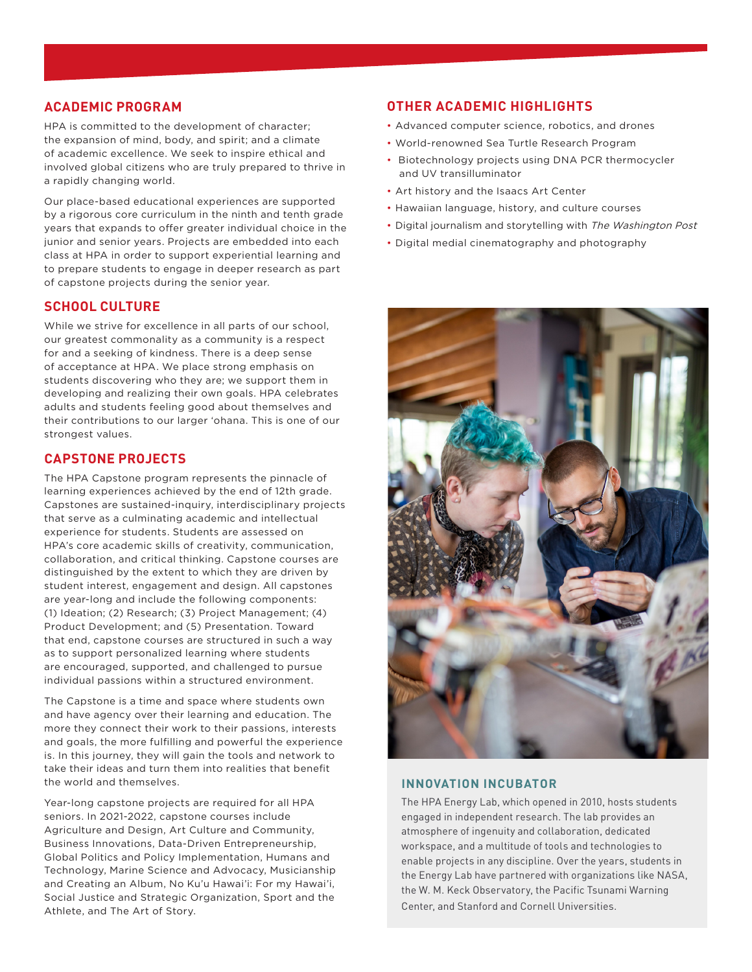#### **ACADEMIC PROGRAM**

HPA is committed to the development of character; the expansion of mind, body, and spirit; and a climate of academic excellence. We seek to inspire ethical and involved global citizens who are truly prepared to thrive in a rapidly changing world.

Our place-based educational experiences are supported by a rigorous core curriculum in the ninth and tenth grade years that expands to offer greater individual choice in the junior and senior years. Projects are embedded into each class at HPA in order to support experiential learning and to prepare students to engage in deeper research as part of capstone projects during the senior year.

#### **SCHOOL CULTURE**

While we strive for excellence in all parts of our school, our greatest commonality as a community is a respect for and a seeking of kindness. There is a deep sense of acceptance at HPA. We place strong emphasis on students discovering who they are; we support them in developing and realizing their own goals. HPA celebrates adults and students feeling good about themselves and their contributions to our larger 'ohana. This is one of our strongest values.

#### **CAPSTONE PROJECTS**

The HPA Capstone program represents the pinnacle of learning experiences achieved by the end of 12th grade. Capstones are sustained-inquiry, interdisciplinary projects that serve as a culminating academic and intellectual experience for students. Students are assessed on HPA's core academic skills of creativity, communication, collaboration, and critical thinking. Capstone courses are distinguished by the extent to which they are driven by student interest, engagement and design. All capstones are year-long and include the following components: (1) Ideation; (2) Research; (3) Project Management; (4) Product Development; and (5) Presentation. Toward that end, capstone courses are structured in such a way as to support personalized learning where students are encouraged, supported, and challenged to pursue individual passions within a structured environment.

The Capstone is a time and space where students own and have agency over their learning and education. The more they connect their work to their passions, interests and goals, the more fulfilling and powerful the experience is. In this journey, they will gain the tools and network to take their ideas and turn them into realities that benefit the world and themselves.

Year-long capstone projects are required for all HPA seniors. In 2021-2022, capstone courses include Agriculture and Design, Art Culture and Community, Business Innovations, Data-Driven Entrepreneurship, Global Politics and Policy Implementation, Humans and Technology, Marine Science and Advocacy, Musicianship and Creating an Album, No Ku'u Hawai'i: For my Hawai'i, Social Justice and Strategic Organization, Sport and the Athlete, and The Art of Story.

#### **OTHER ACADEMIC HIGHLIGHTS**

- Advanced computer science, robotics, and drones
- World-renowned Sea Turtle Research Program
- Biotechnology projects using DNA PCR thermocycler and UV transilluminator
- Art history and the Isaacs Art Center
- Hawaiian language, history, and culture courses
- Digital journalism and storytelling with The Washington Post
- Digital medial cinematography and photography



#### **INNOVATION INCUBATOR**

The HPA Energy Lab, which opened in 2010, hosts students engaged in independent research. The lab provides an atmosphere of ingenuity and collaboration, dedicated workspace, and a multitude of tools and technologies to enable projects in any discipline. Over the years, students in the Energy Lab have partnered with organizations like NASA, the W. M. Keck Observatory, the Pacific Tsunami Warning Center, and Stanford and Cornell Universities.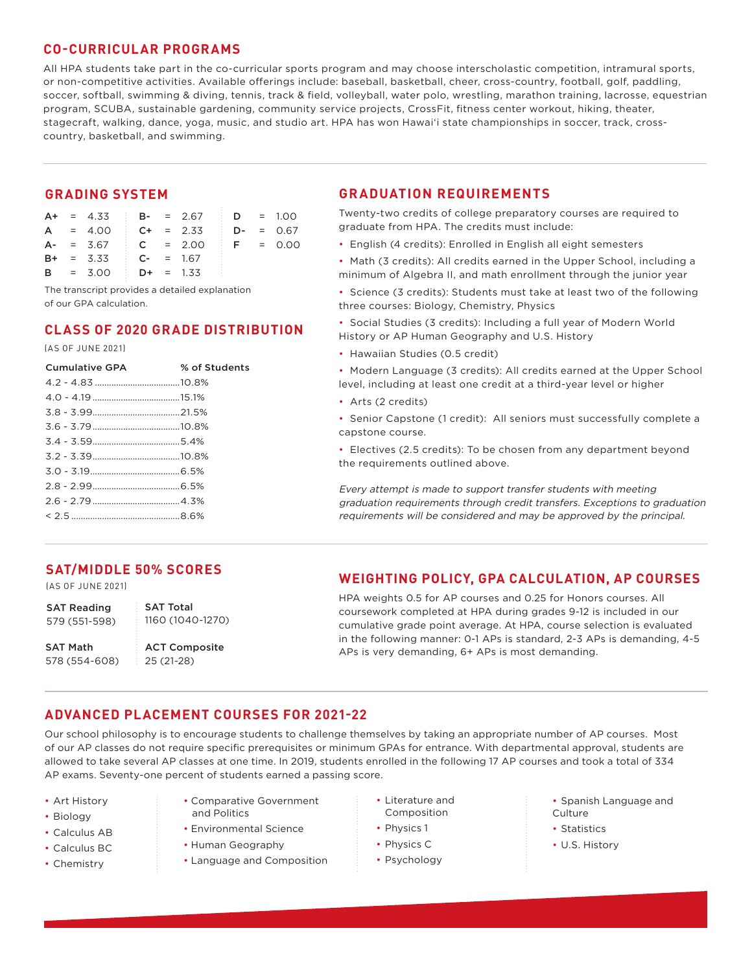#### **CO-CURRICULAR PROGRAMS**

All HPA students take part in the co-curricular sports program and may choose interscholastic competition, intramural sports, or non-competitive activities. Available offerings include: baseball, basketball, cheer, cross-country, football, golf, paddling, soccer, softball, swimming & diving, tennis, track & field, volleyball, water polo, wrestling, marathon training, lacrosse, equestrian program, SCUBA, sustainable gardening, community service projects, CrossFit, fitness center workout, hiking, theater, stagecraft, walking, dance, yoga, music, and studio art. HPA has won Hawai'i state championships in soccer, track, crosscountry, basketball, and swimming.

#### **GRADING SYSTEM**

|  |                         |  | $A+$ = 4.33 i B- = 2.67 i D = 1.00   |  |  |
|--|-------------------------|--|--------------------------------------|--|--|
|  |                         |  | $A = 4.00$ $C + = 2.33$ $D - = 0.67$ |  |  |
|  |                         |  | $A- = 3.67$ C = 2.00 F = 0.00        |  |  |
|  | $B+ = 3.33$ $C- = 1.67$ |  |                                      |  |  |
|  | $B = 3.00$ $D+ = 1.33$  |  |                                      |  |  |

The transcript provides a detailed explanation of our GPA calculation.

## **CLASS OF 2020 GRADE DISTRIBUTION**

#### (AS OF JUNE 2021)

| <b>Cumulative GPA</b> | % of Students |
|-----------------------|---------------|
|                       |               |
|                       |               |
|                       |               |
|                       |               |
|                       |               |
|                       |               |
|                       |               |
|                       |               |
|                       |               |
|                       |               |
|                       |               |

### **GRADUATION REQUIREMENTS**

Twenty-two credits of college preparatory courses are required to graduate from HPA. The credits must include:

- English (4 credits): Enrolled in English all eight semesters
- Math (3 credits): All credits earned in the Upper School, including a minimum of Algebra II, and math enrollment through the junior year
- Science (3 credits): Students must take at least two of the following three courses: Biology, Chemistry, Physics

• Social Studies (3 credits): Including a full year of Modern World History or AP Human Geography and U.S. History

• Hawaiian Studies (0.5 credit)

• Modern Language (3 credits): All credits earned at the Upper School level, including at least one credit at a third-year level or higher

• Arts (2 credits)

• Senior Capstone (1 credit): All seniors must successfully complete a capstone course.

• Electives (2.5 credits): To be chosen from any department beyond the requirements outlined above.

Every attempt is made to support transfer students with meeting graduation requirements through credit transfers. Exceptions to graduation requirements will be considered and may be approved by the principal.

# **SAT/MIDDLE 50% SCORES**

(AS OF JUNE 2021)

SAT Reading 579 (551-598) SAT Total 1160 (1040-1270)

SAT Math 578 (554-608)

ACT Composite 25 (21-28)

# **WEIGHTING POLICY, GPA CALCULATION, AP COURSES**

HPA weights 0.5 for AP courses and 0.25 for Honors courses. All coursework completed at HPA during grades 9-12 is included in our cumulative grade point average. At HPA, course selection is evaluated in the following manner: 0-1 APs is standard, 2-3 APs is demanding, 4-5 APs is very demanding, 6+ APs is most demanding.

# **ADVANCED PLACEMENT COURSES FOR 2021-22**

Our school philosophy is to encourage students to challenge themselves by taking an appropriate number of AP courses. Most of our AP classes do not require specific prerequisites or minimum GPAs for entrance. With departmental approval, students are allowed to take several AP classes at one time. In 2019, students enrolled in the following 17 AP courses and took a total of 334 AP exams. Seventy-one percent of students earned a passing score.

- Art History
- Biology
- Calculus AB
- Calculus BC
- Chemistry
- Comparative Government and Politics
- Environmental Science
- Human Geography
- Language and Composition
- Literature and Composition
- Physics 1
- Physics C • Psychology
- Spanish Language and **Culture**
- Statistics
- U.S. History